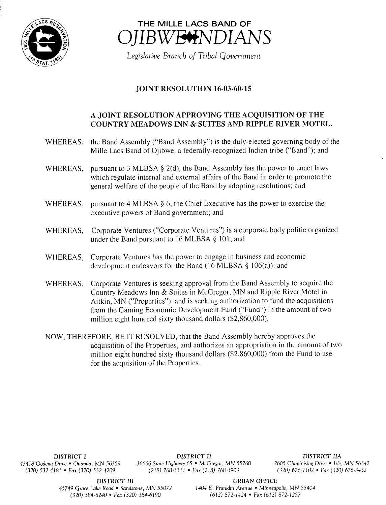



Legislative Branch of Tribal Government

## **JOINT RESOLUTION 16-03-60-15**

## A JOINT RESOLUTION APPROVING THE ACQUISITION OF THE COUNTRY MEADOWS INN & SUITES AND RIPPLE RIVER MOTEL.

- WHEREAS, the Band Assembly ("Band Assembly") is the duly-elected governing body of the Mille Lacs Band of Ojibwe, <sup>a</sup> federally-recognized Indian tribe (" Band"); and
- WHEREAS, pursuant to 3 MLBSA  $\S$  2(d), the Band Assembly has the power to enact laws which regulate internal and external affairs of the Band in order to promote the general welfare of the people of the Band by adopting resolutions; and
- WHEREAS, pursuant to 4 MLBSA § 6, the Chief Executive has the power to exercise the executive powers of Band government; and
- WHEREAS, Corporate Ventures ("Corporate Ventures") is a corporate body politic organized under the Band pursuant to 16 MLBSA § 101; and
- WHEREAS, Corporate Ventures has the power to engage in business and economic development endeavors for the Band (16 MLBSA  $\S$  106(a)); and
- WHEREAS, Corporate Ventures is seeking approval from the Band Assembly to acquire the Country Meadows Inn & Suites in McGregor, MN and Ripple River Motel in Aitkin, MN ("Properties"), and is seeking authorization to fund the acquisitions from the Gaming Economic Development Fund ("Fund") in the amount of two million eight hundred sixty thousand dollars  $(\$2,860,000)$ .
- NOW, THEREFORE, BE IT RESOLVED, that the Band Assembly hereby approves the acquisition of the Properties, and authorizes an appropriation in the amount of two million eight hundred sixty thousand dollars  $(\$2,860,000)$  from the Fund to use for the acquisition of the Properties.

DISTRICT <sup>I</sup> DISTRICT II DISTRICT IIA 43408 Oodena Drive • Onamia, MN 56359 36666 State Highway 65 • McGregor, MN 55760 2605 Chiminising Drive • Isle, MN 56342 320) 532-4181 • Fax( 320) 532- 4209 218) 768- 3311 • Fax ( 218) 768- 3903 320) 676- 1102 • Fax( 320) 676- 3432

DISTRICT III URBAN OFFICE

45749 Grace Lake Road • Sandstone, MN 55072 1404 E. Franklin Avenue • Minneapolis, MN 55404 320) 384- 6240 • Fax( 320) 384- 6190 612) 872- 1424 • Fax( 612) 872- 1257